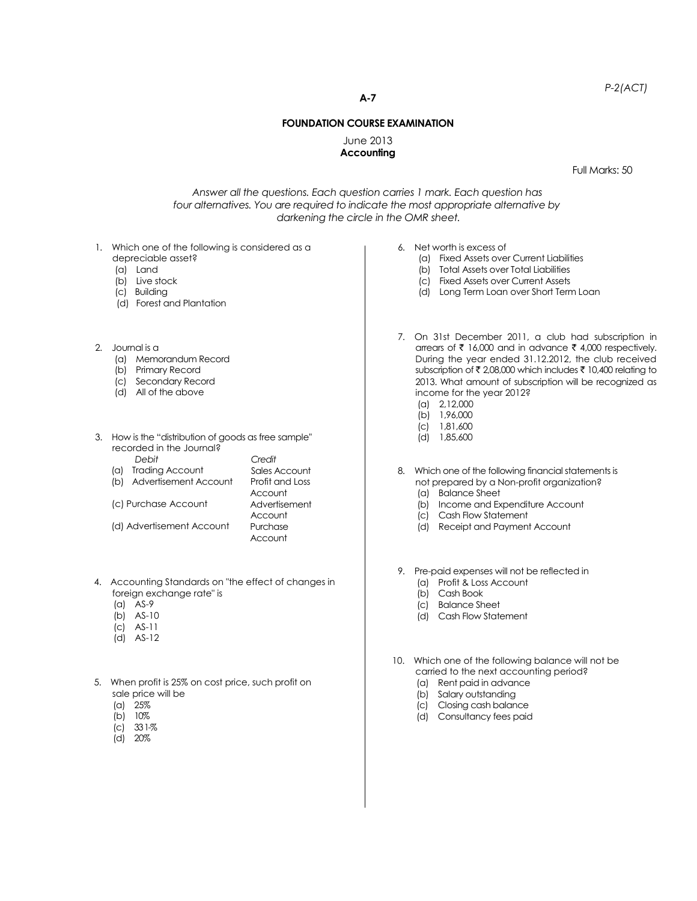*P-2(ACT)*

**A-7**

## **FOUNDATION COURSE EXAMINATION**

June 2013 **Accounting**

Full Marks: 50

*Answer all the questions. Each question carries 1 mark. Each question has four alternatives. You are required to indicate the most appropriate alternative by darkening the circle in the OMR sheet.*

- 1. Which one of the following is considered as a
	- depreciable asset?
	- (a) Land
	- (b) Live stock
	- (c) Building
	- (d) Forest and Plantation
- 2. Journal is a
	- (a) Memorandum Record
	- (b) Primary Record
	- (c) Secondary Record
	- (d) All of the above
- 3. How is the "distribution of goods as free sample'' recorded in the Journal? *Credit*
	- *Debit* (a) Trading Account
	- (b) Advertisement Account
	- (c) Purchase Account

(d) Advertisement Account

Profit and Loss **Account** Advertisement Account Purchase Account

Sales Account

- 4. Accounting Standards on "the effect of changes in foreign exchange rate" is
	- (a) AS-9
	- (b) AS-10
	- (c) AS-11
	- (d) AS-12
- 5. When profit is 25% on cost price, such profit on sale price will be
	- (a) 25%
	- (b) 10%
	- $|c|$  33 1-%
	- (d) 20%
- 6. Net worth is excess of
	- (a) Fixed Assets over Current Liabilities
	- (b) Total Assets over Total Liabilities
	- (c) Fixed Assets over Current Assets
	- (d) Long Term Loan over Short Term Loan
- 7. On 31st December 2011, a club had subscription in arrears of  $\bar{\tau}$  16,000 and in advance  $\bar{\tau}$  4,000 respectively. During the year ended 31.12.2012, the club received subscription of  $\bar{\tau}$  2,08,000 which includes  $\bar{\tau}$  10,400 relating to 2013. What amount of subscription will be recognized as income for the year 2012? (a) 2,12,000
	- (b) 1,96,000
	- (c) 1,81,600
	- (d) 1,85,600
- 8. Which one of the following financial statements is not prepared by a Non-profit organization?
	- (a) Balance Sheet
	- (b) Income and Expenditure Account
	- (c) Cash Flow Statement
	- (d) Receipt and Payment Account
- 9. Pre-paid expenses will not be reflected in
	- (a) Profit & Loss Account
	- (b) Cash Book
	- (c) Balance Sheet
	- (d) Cash Flow Statement
- 10. Which one of the following balance will not be carried to the next accounting period?
	- (a) Rent paid in advance
	- (b) Salary outstanding
	- (c) Closing cash balance
	- (d) Consultancy fees paid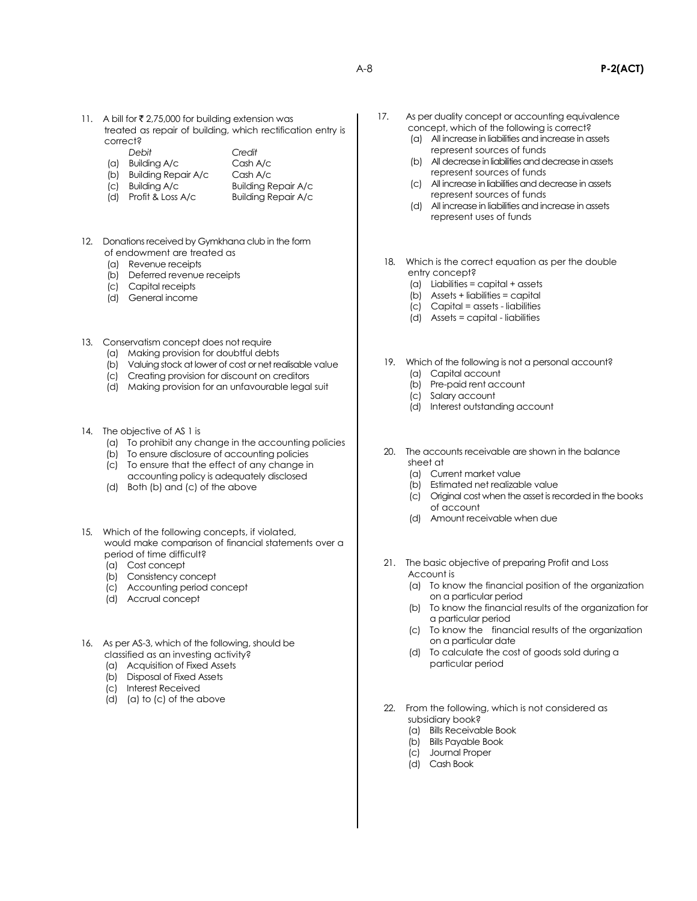- 11. A bill for ₹ 2,75,000 for building extension was treated as repair of building, which rectification entry is correct?
	- *Debit Credit*
	- (a) Building A/c Cash A/c
	- (b) Building Repair A/c Cash A/c
	-
	- (c) Building A/c Building Repair A/c
	- (d) Profit & Loss A/c Building Repair A/c
- 12. Donations received by Gymkhana club in the form of endowment are treated as
	- (a) Revenue receipts
	- (b) Deferred revenue receipts
	- (c) Capital receipts
	- (d) General income
- 13. Conservatism concept does not require
	- (a) Making provision for doubtful debts
	- (b) Valuing stock at lower of cost or net realisable value
	- (c) Creating provision for discount on creditors
	- (d) Making provision for an unfavourable legal suit
- 14. The objective of AS 1 is
	- (a) To prohibit any change in the accounting policies
	- (b) To ensure disclosure of accounting policies
	- (c) To ensure that the effect of any change in
	- accounting policy is adequately disclosed (d) Both (b) and (c) of the above
- 15. Which of the following concepts, if violated, would make comparison of financial statements over a period of time difficult?
	- (a) Cost concept
	- (b) Consistency concept
	- (c) Accounting period concept
	- (d) Accrual concept
- 16. As per AS-3, which of the following, should be classified as an investing activity?
	- (a) Acquisition of Fixed Assets
	- (b) Disposal of Fixed Assets
	- (c) Interest Received
	- (d) (a) to (c) of the above
- 17. As per duality concept or accounting equivalence concept, which of the following is correct?
	- (a) All increase in liabilities and increase in assets represent sources of funds
	- (b) All decrease in liabilities and decrease in assets represent sources of funds
	- (c) All increase in liabilities and decrease in assets represent sources of funds
	- (d) All increase in liabilities and increase in assets represent uses of funds
- 18. Which is the correct equation as per the double entry concept?
	- (a) Liabilities = capital + assets
	- (b) Assets + liabilities = capital
	- (c) Capital = assets liabilities
	- (d) Assets = capital liabilities
- 19. Which of the following is not a personal account? (a) Capital account
	- (b) Pre-paid rent account
	- (c) Salary account
	- (d) Interest outstanding account
- 20. The accounts receivable are shown in the balance sheet at
	- (a) Current market value
	- (b) Estimated net realizable value
	- (c) Original cost when the asset is recorded in the books of account
	- (d) Amount receivable when due
- 21. The basic objective of preparing Profit and Loss Account is
	- (a) To know the financial position of the organization on a particular period
	- (b) To know the financial results of the organization for a particular period
	- (c) To know the financial results of the organization on a particular date
	- (d) To calculate the cost of goods sold during a particular period
- 22. From the following, which is not considered as subsidiary book?
	- (a) Bills Receivable Book
	- (b) Bills Payable Book
	- (c) Journal Proper
	- (d) Cash Book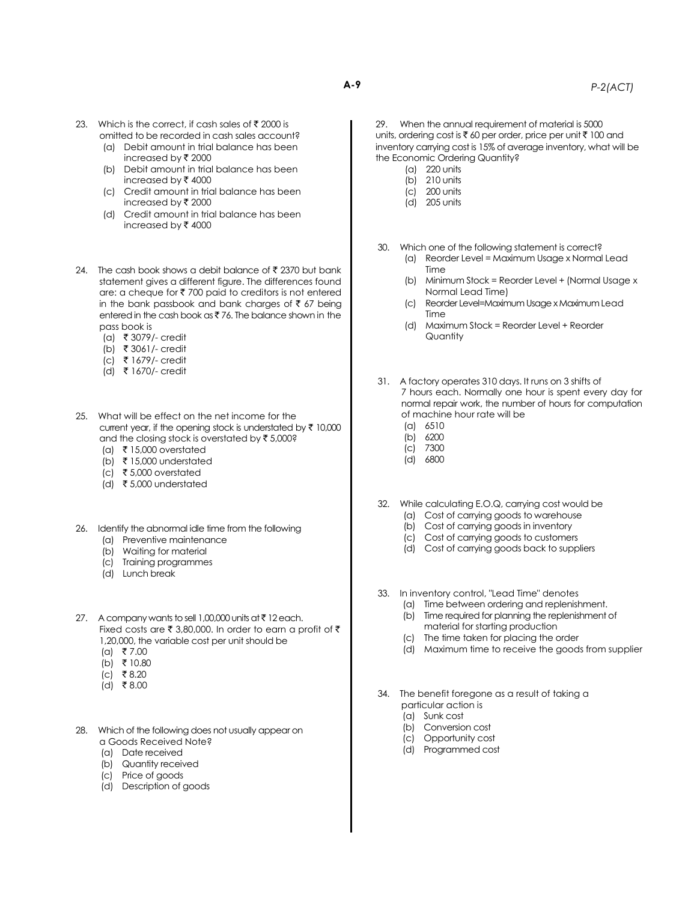- 23. Which is the correct, if cash sales of  $\bar{\tau}$  2000 is omitted to be recorded in cash sales account? (a) Debit amount in trial balance has been
	- increased by  $\bar{\tau}$  2000 (b) Debit amount in trial balance has been increased by  $\bar{\tau}$  4000
	- (c) Credit amount in trial balance has been increased by  $\bar{\mathbf{z}}$  2000
	- (d) Credit amount in trial balance has been increased by  $\bar{\tau}$  4000
- 24. The cash book shows a debit balance of ₹ 2370 but bank statement gives a different figure. The differences found are: a cheque for  $\bar{\tau}$  700 paid to creditors is not entered in the bank passbook and bank charges of  $\bar{\tau}$  67 being entered in the cash book as  $\bar{z}$  76. The balance shown in the pass book is
	- (a) ` 3079/- credit
	- (b) ` 3061/- credit
	- (c) ` 1679/- credit
	- (d) ` 1670/- credit
- 25. What will be effect on the net income for the current year, if the opening stock is understated by  $\bar{\tau}$  10,000 and the closing stock is overstated by  $\bar{z}$  5,000?
	- (a) ₹ 15,000 overstated
	- (b)  $\bar{\tau}$  15,000 understated
	- (c) ₹ 5,000 overstated
	- (d)  $\bar{\tau}$  5,000 understated
- 26. Identify the abnormal idle time from the following (a) Preventive maintenance
	-
	- (b) Waiting for material (c) Training programmes
	-
	- (d) Lunch break
- 27. A company wants to sell 1,00,000 units at  $\bar{\tau}$  12 each. Fixed costs are  $\bar{\tau}$  3,80,000. In order to earn a profit of  $\bar{\tau}$ 1,20,000, the variable cost per unit should be
	- $(a)$  ₹ 7.00
	- $(b)$  ₹ 10.80
	- (c) ₹8.20
	- $(d)$  ₹8.00
- 28. Which of the following does not usually appear on a Goods Received Note?
	- (a) Date received
	- (b) Quantity received
	- (c) Price of goods
	- (d) Description of goods

29. When the annual requirement of material is 5000 units, ordering cost is  $\bar{\tau}$  60 per order, price per unit  $\bar{\tau}$  100 and inventory carrying cost is 15% of average inventory, what will be the Economic Ordering Quantity?

- (a) 220 units
- (b) 210 units
- (c) 200 units
- (d) 205 units

30. Which one of the following statement is correct?

- (a) Reorder Level = Maximum Usage x Normal Lead Time
- (b) Minimum Stock = Reorder Level + (Normal Usage x Normal Lead Time)
- (c) Reorder Level=Maximum Usage x Maximum Lead Time
- (d) Maximum Stock = Reorder Level + Reorder **Quantity**
- 31. A factory operates 310 days. It runs on 3 shifts of 7 hours each. Normally one hour is spent every day for normal repair work, the number of hours for computation of machine hour rate will be
	- (a) 6510
	- (b) 6200
	- (c) 7300
	- (d) 6800
- 32. While calculating E.O.Q, carrying cost would be
	- (a) Cost of carrying goods to warehouse
	- (b) Cost of carrying goods in inventory
	- (c) Cost of carrying goods to customers
	- (d) Cost of carrying goods back to suppliers
- 33. In inventory control, "Lead Time" denotes
	- (a) Time between ordering and replenishment. (b) Time required for planning the replenishment of
	- material for starting production
	- (c) The time taken for placing the order
	- (d) Maximum time to receive the goods from supplier
- 34. The benefit foregone as a result of taking a particular action is
	- (a) Sunk cost
	- (b) Conversion cost
	- (c) Opportunity cost
	- (d) Programmed cost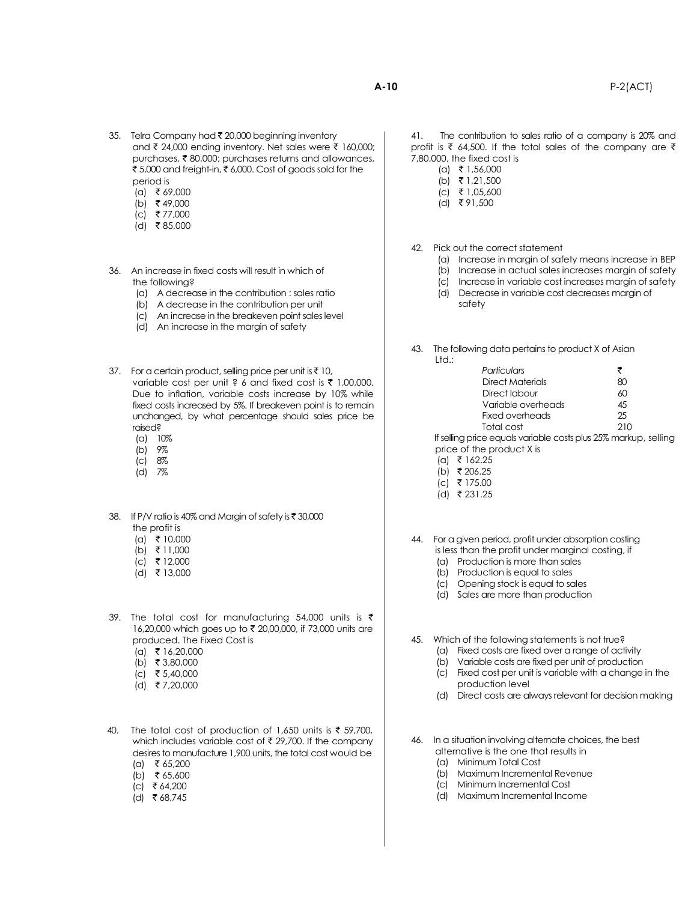- 35. Telra Company had ₹ 20,000 beginning inventory and  $\bar{\tau}$  24,000 ending inventory. Net sales were  $\bar{\tau}$  160,000; purchases, ₹80,000; purchases returns and allowances, ₹ 5,000 and freight-in, ₹ 6,000. Cost of goods sold for the period is
	- $(a)$  ₹ 69,000
	- $(b)$  ₹ 49,000
	- $(c)$  ₹ 77,000
	- $(d)$  ₹85,000
- 36. An increase in fixed costs will result in which of the following?
	- (a) A decrease in the contribution : sales ratio
	- (b) A decrease in the contribution per unit
	- (c) An increase in the breakeven point sales level
	- (d) An increase in the margin of safety
- 37. For a certain product, selling price per unit is  $\bar{\tau}$  10, variable cost per unit ? 6 and fixed cost is  $\bar{\tau}$  1,00,000. Due to inflation, variable costs increase by 10% while fixed costs increased by 5%. If breakeven point is to remain unchanged, by what percentage should sales price be raised?
	- (a) 10%
	- (b) 9%
	- (c) 8%
	- (d) 7%
- 38. If P/V ratio is 40% and Margin of safety is  $\bar{\tau}$  30,000 the profit is
	- $(a)$  ₹ 10,000
	- (b) ` 11,000
	- $(c)$  ₹ 12,000
	- (d) ` 13,000
- 39. The total cost for manufacturing 54,000 units is  $\bar{\tau}$ 16,20,000 which goes up to ₹ 20,00,000, if 73,000 units are produced. The Fixed Cost is
	- $(a)$  ₹ 16,20,000
	- (b) ₹ 3,80,000
	- (c) ₹ 5,40,000
	- (d) ` 7,20,000
- 40. The total cost of production of 1,650 units is  $\bar{\tau}$  59,700, which includes variable cost of  $\bar{\tau}$  29,700. If the company desires to manufacture 1,900 units, the total cost would be  $(a)$  ₹ 65,200
	- (b) ₹ 65,600
	- $(c)$  ₹ 64,200
	-
- - $(d)$  ₹ 68,745

41. The contribution to sales ratio of a company is 20% and profit is  $\bar{\tau}$  64,500. If the total sales of the company are  $\bar{\tau}$ 7,80,000, the fixed cost is

- $(a)$  ₹ 1,56,000
- (b) ₹ 1,21,500
- $|c|$  ₹ 1,05,600
- $(d)$  ₹ 91,500

42. Pick out the correct statement

- (a) Increase in margin of safety means increase in BEP
- (b) Increase in actual sales increases margin of safety
- (c) Increase in variable cost increases margin of safety
- (d) Decrease in variable cost decreases margin of safety

43. The following data pertains to product X of Asian Ltd.:

| Particulars        | ₹  |
|--------------------|----|
| Direct Materials   | ×ι |
| Direct labour      | ሪበ |
| Variable overheads | 45 |
| Fixed overheads    | 25 |
| Total cost         |    |

If selling price equals variable costs plus 25% markup, selling price of the product X is

- $\lceil \text{cl} \rceil$   $\bar{\tau}$  162.25
- (b) ₹206.25
- $(c)$  ₹ 175.00
- $(d)$  ₹ 231.25

44. For a given period, profit under absorption costing is less than the profit under marginal costing, if

- (a) Production is more than sales
- (b) Production is equal to sales
- (c) Opening stock is equal to sales
- (d) Sales are more than production
- 45. Which of the following statements is not true?
	- (a) Fixed costs are fixed over a range of activity
	- (b) Variable costs are fixed per unit of production
	- (c) Fixed cost per unit is variable with a change in the production level
	- (d) Direct costs are always relevant for decision making
- 46. In a situation involving alternate choices, the best alternative is the one that results in
	- (a) Minimum Total Cost
	- (b) Maximum Incremental Revenue
	- (c) Minimum Incremental Cost
	- (d) Maximum Incremental Income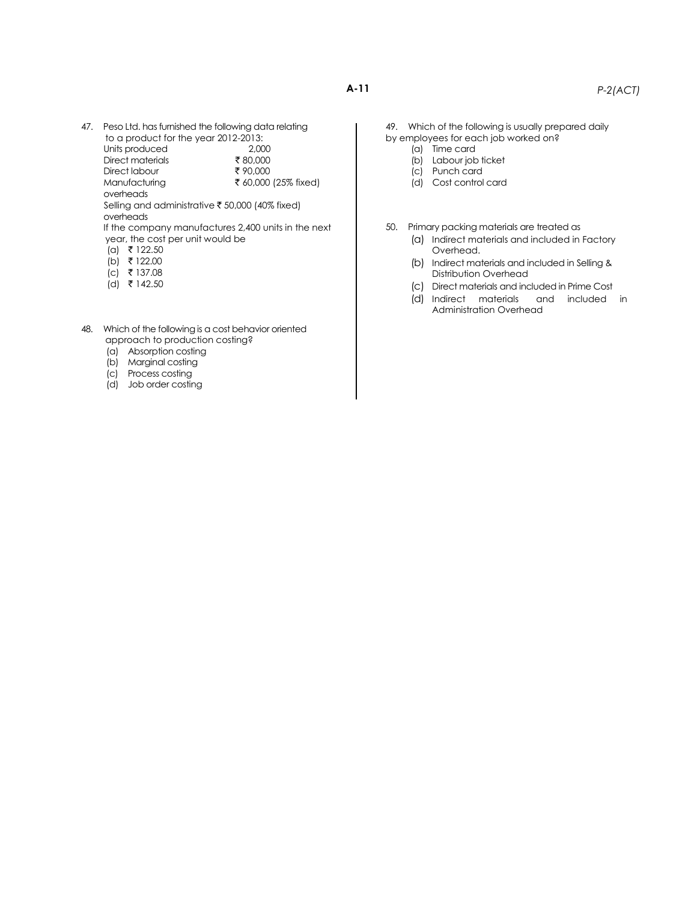- **A-11** *P-2(ACT)*
- 47. Peso Ltd. has furnished the following data relating to a product for the year 2012-2013:

Units produced 2,000 Direct materials  $\frac{}{\sqrt[3]{2}}$  80,000  $Direct$  labour  $\overline{3}$  90,000 Manufacturing ` 60,000 (25% fixed)

overheads

Selling and administrative  $\bar{\bar{\tau}}$  50,000 (40% fixed) overheads

If the company manufactures 2,400 units in the next year, the cost per unit would be

- $(a)$  ₹ 122.50
- $(b)$  ₹ 122.00
- $(c)$  ₹ 137.08
- $(d)$  ₹ 142.50
- 48. Which of the following is a cost behavior oriented approach to production costing?
	- (a) Absorption costing
	- (b) Marginal costing
	- (c) Process costing
	- (d) Job order costing

49. Which of the following is usually prepared daily by employees for each job worked on?

- (a) Time card
- (b) Labour job ticket
- (c) Punch card
- (d) Cost control card

50. Primary packing materials are treated as

- (a) Indirect materials and included in Factory Overhead.
- (b) Indirect materials and included in Selling & Distribution Overhead
- (c) Direct materials and included in Prime Cost
- (d) Indirect materials and included in Administration Overhead